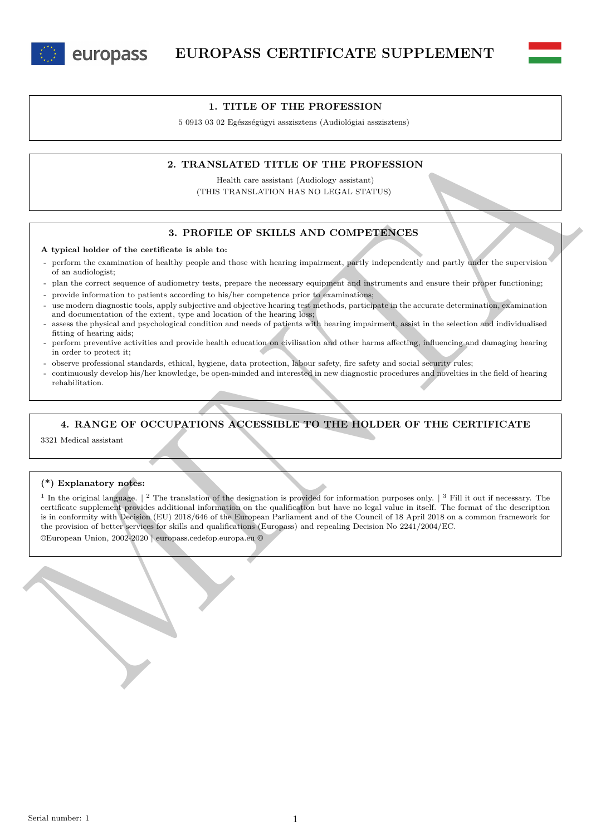



5 0913 03 02 Egészségügyi asszisztens (Audiológiai asszisztens)

## **2. TRANSLATED TITLE OF THE PROFESSION**

Health care assistant (Audiology assistant) (THIS TRANSLATION HAS NO LEGAL STATUS)

### **3. PROFILE OF SKILLS AND COMPETENCES**

#### **A typical holder of the certificate is able to:**

- perform the examination of healthy people and those with hearing impairment, partly independently and partly under the supervision of an audiologist;
- plan the correct sequence of audiometry tests, prepare the necessary equipment and instruments and ensure their proper functioning;
- provide information to patients according to his/her competence prior to examinations;
- use modern diagnostic tools, apply subjective and objective hearing test methods, participate in the accurate determination, examination and documentation of the extent, type and location of the hearing loss;
- assess the physical and psychological condition and needs of patients with hearing impairment, assist in the selection and individualised fitting of hearing aids;
- perform preventive activities and provide health education on civilisation and other harms affecting, influencing and damaging hearing in order to protect it;
- observe professional standards, ethical, hygiene, data protection, labour safety, fire safety and social security rules;
- continuously develop his/her knowledge, be open-minded and interested in new diagnostic procedures and novelties in the field of hearing rehabilitation.

## **4. RANGE OF OCCUPATIONS ACCESSIBLE TO THE HOLDER OF THE CERTIFICATE**

3321 Medical assistant

### **(\*) Explanatory notes:**

2. TRANSLATED TITLE OF THE PROFESSION<br>
THIS TRANSLATED TITLE OF THE PROFESSION<br>
(THIS TRANSLATED TITLE OF THE PROFESSION<br>
2. FRONTLE OF SKILLS AND COMPETENCES<br>
A typical holder of the centralized is able to the set in Jac <sup>1</sup> In the original language.  $\vert$  <sup>2</sup> The translation of the designation is provided for information purposes only.  $\vert$  <sup>3</sup> Fill it out if necessary. The certificate supplement provides additional information on the qualification but have no legal value in itself. The format of the description is in conformity with Decision (EU) 2018/646 of the European Parliament and of the Council of 18 April 2018 on a common framework for the provision of better services for skills and qualifications (Europass) and repealing Decision No 2241/2004/EC. ©European Union, 2002-2020 | europass.cedefop.europa.eu ©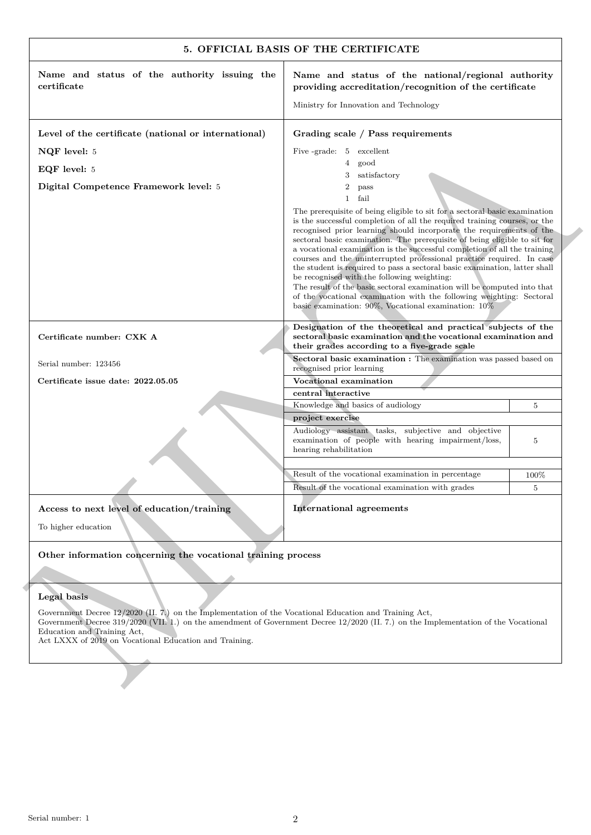| Name and status of the authority issuing the<br>certificate                                                                                                                                                    | Name and status of the national/regional authority<br>providing accreditation/recognition of the certificate<br>Ministry for Innovation and Technology                                                                                                                                                                                                                                                                                                                                                                                                                                                                                                                                                                                                                                                                                                                                                                                                                                                                                                                                        |                |
|----------------------------------------------------------------------------------------------------------------------------------------------------------------------------------------------------------------|-----------------------------------------------------------------------------------------------------------------------------------------------------------------------------------------------------------------------------------------------------------------------------------------------------------------------------------------------------------------------------------------------------------------------------------------------------------------------------------------------------------------------------------------------------------------------------------------------------------------------------------------------------------------------------------------------------------------------------------------------------------------------------------------------------------------------------------------------------------------------------------------------------------------------------------------------------------------------------------------------------------------------------------------------------------------------------------------------|----------------|
| Level of the certificate (national or international)                                                                                                                                                           | Grading scale / Pass requirements                                                                                                                                                                                                                                                                                                                                                                                                                                                                                                                                                                                                                                                                                                                                                                                                                                                                                                                                                                                                                                                             |                |
|                                                                                                                                                                                                                |                                                                                                                                                                                                                                                                                                                                                                                                                                                                                                                                                                                                                                                                                                                                                                                                                                                                                                                                                                                                                                                                                               |                |
| NQF level: 5                                                                                                                                                                                                   | Five -grade: 5 excellent<br>good<br>4                                                                                                                                                                                                                                                                                                                                                                                                                                                                                                                                                                                                                                                                                                                                                                                                                                                                                                                                                                                                                                                         |                |
| EQF level: 5                                                                                                                                                                                                   | satisfactory<br>3                                                                                                                                                                                                                                                                                                                                                                                                                                                                                                                                                                                                                                                                                                                                                                                                                                                                                                                                                                                                                                                                             |                |
| Digital Competence Framework level: 5                                                                                                                                                                          | $\overline{2}$<br>pass                                                                                                                                                                                                                                                                                                                                                                                                                                                                                                                                                                                                                                                                                                                                                                                                                                                                                                                                                                                                                                                                        |                |
| Certificate number: CXK A<br>Serial number: 123456                                                                                                                                                             | $\mathbf{1}$<br>fail<br>The prerequisite of being eligible to sit for a sectoral basic examination<br>is the successful completion of all the required training courses, or the<br>recognised prior learning should incorporate the requirements of the<br>sectoral basic examination. The prerequisite of being eligible to sit for<br>a vocational examination is the successful completion of all the training<br>courses and the uninterrupted professional practice required. In case<br>the student is required to pass a sectoral basic examination, latter shall<br>be recognised with the following weighting:<br>The result of the basic sectoral examination will be computed into that<br>of the vocational examination with the following weighting: Sectoral<br>basic examination: $90\%$ , Vocational examination: $10\%$<br>Designation of the theoretical and practical subjects of the<br>sectoral basic examination and the vocational examination and<br>their grades according to a five-grade scale<br>Sectoral basic examination : The examination was passed based on |                |
|                                                                                                                                                                                                                | recognised prior learning                                                                                                                                                                                                                                                                                                                                                                                                                                                                                                                                                                                                                                                                                                                                                                                                                                                                                                                                                                                                                                                                     |                |
| Certificate issue date: 2022.05.05                                                                                                                                                                             | Vocational examination<br>central interactive                                                                                                                                                                                                                                                                                                                                                                                                                                                                                                                                                                                                                                                                                                                                                                                                                                                                                                                                                                                                                                                 |                |
|                                                                                                                                                                                                                | Knowledge and basics of audiology                                                                                                                                                                                                                                                                                                                                                                                                                                                                                                                                                                                                                                                                                                                                                                                                                                                                                                                                                                                                                                                             | 5              |
|                                                                                                                                                                                                                | project exercise                                                                                                                                                                                                                                                                                                                                                                                                                                                                                                                                                                                                                                                                                                                                                                                                                                                                                                                                                                                                                                                                              |                |
|                                                                                                                                                                                                                | Audiology assistant tasks, subjective and objective<br>examination of people with hearing impairment/loss,<br>hearing rehabilitation                                                                                                                                                                                                                                                                                                                                                                                                                                                                                                                                                                                                                                                                                                                                                                                                                                                                                                                                                          | 5              |
|                                                                                                                                                                                                                | Result of the vocational examination in percentage                                                                                                                                                                                                                                                                                                                                                                                                                                                                                                                                                                                                                                                                                                                                                                                                                                                                                                                                                                                                                                            | 100\%          |
|                                                                                                                                                                                                                | Result of the vocational examination with grades                                                                                                                                                                                                                                                                                                                                                                                                                                                                                                                                                                                                                                                                                                                                                                                                                                                                                                                                                                                                                                              | $\overline{5}$ |
| Access to next level of education/training<br>To higher education                                                                                                                                              | <b>International agreements</b>                                                                                                                                                                                                                                                                                                                                                                                                                                                                                                                                                                                                                                                                                                                                                                                                                                                                                                                                                                                                                                                               |                |
| Other information concerning the vocational training process                                                                                                                                                   |                                                                                                                                                                                                                                                                                                                                                                                                                                                                                                                                                                                                                                                                                                                                                                                                                                                                                                                                                                                                                                                                                               |                |
|                                                                                                                                                                                                                |                                                                                                                                                                                                                                                                                                                                                                                                                                                                                                                                                                                                                                                                                                                                                                                                                                                                                                                                                                                                                                                                                               |                |
| Legal basis<br>Government Decree 12/2020 (II. 7.) on the Implementation of the Vocational Education and Training Act,<br>Education and Training Act,<br>Act LXXX of 2019 on Vocational Education and Training. | Government Decree 319/2020 (VII. 1.) on the amendment of Government Decree 12/2020 (II. 7.) on the Implementation of the Vocational                                                                                                                                                                                                                                                                                                                                                                                                                                                                                                                                                                                                                                                                                                                                                                                                                                                                                                                                                           |                |
|                                                                                                                                                                                                                |                                                                                                                                                                                                                                                                                                                                                                                                                                                                                                                                                                                                                                                                                                                                                                                                                                                                                                                                                                                                                                                                                               |                |

## **Legal basis**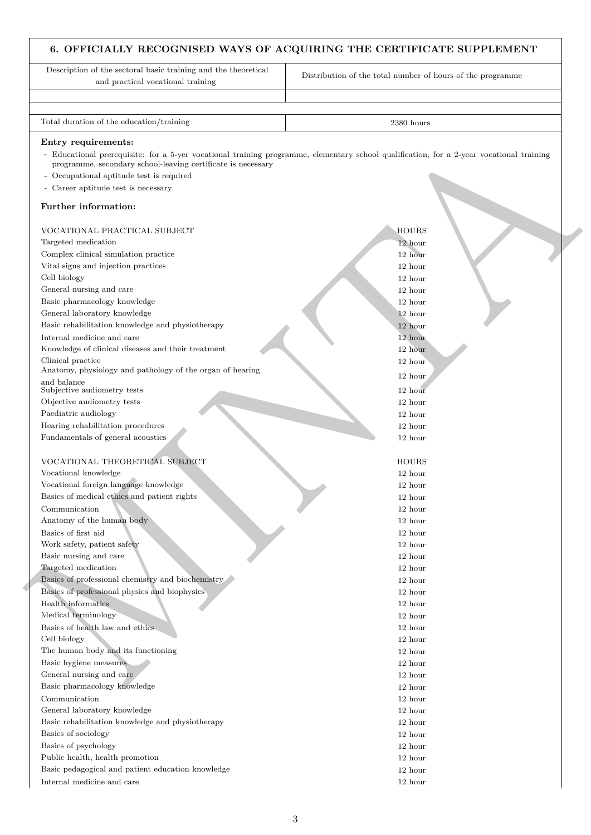# **6. OFFICIALLY RECOGNISED WAYS OF ACQUIRING THE CERTIFICATE SUPPLEMENT**

Description of the sectoral basic training and the theoretical and practical vocational training

Distribution of the total number of hours of the programme

Total duration of the education/training 2380 hours 2380 hours

#### **Entry requirements:**

- Occupational aptitude test is required
- Career aptitude test is necessary

## **Further information:**

| programme, secondary school-leaving certificate is necessary                     |                    |
|----------------------------------------------------------------------------------|--------------------|
| - Occupational aptitude test is required<br>- Career aptitude test is necessary  |                    |
|                                                                                  |                    |
| Further information:                                                             |                    |
| VOCATIONAL PRACTICAL SUBJECT                                                     | <b>HOURS</b>       |
| Targeted medication                                                              | 12 hour            |
| Complex clinical simulation practice                                             | 12 hour            |
| Vital signs and injection practices                                              | 12 hour            |
| Cell biology                                                                     | 12 hour            |
| General nursing and care                                                         | 12 hour            |
| Basic pharmacology knowledge                                                     | 12 hour            |
| General laboratory knowledge<br>Basic rehabilitation knowledge and physiotherapy | 12 hour<br>12 hour |
| Internal medicine and care                                                       | $12$ hour          |
| Knowledge of clinical diseases and their treatment                               | 12 hour            |
| Clinical practice                                                                | 12 hour            |
| Anatomy, physiology and pathology of the organ of hearing<br>and balance         | 12 hour            |
| Subjective audiometry tests                                                      | 12 hour            |
| Objective audiometry tests                                                       | 12 hour            |
| Paediatric audiology                                                             | 12 hour            |
| Hearing rehabilitation procedures                                                | 12 hour            |
| Fundamentals of general acoustics                                                | 12 hour            |
| VOCATIONAL THEORETICAL SUBJECT                                                   | <b>HOURS</b>       |
| Vocational knowledge                                                             | 12 hour            |
| Vocational foreign language knowledge                                            | 12 hour            |
| Basics of medical ethics and patient rights                                      | 12 hour            |
| Communication                                                                    | 12 hour            |
| Anatomy of the human body                                                        | 12 hour            |
| Basics of first aid                                                              | 12 hour            |
| Work safety, patient safety<br>Basic nursing and care                            | 12 hour            |
| Targeted medication                                                              | 12 hour            |
| Basics of professional chemistry and biochemistry                                | 12 hour<br>12 hour |
| Basics of professional physics and biophysics                                    | 12 hour            |
| Health informatics                                                               | 12 hour            |
| Medical terminology                                                              | 12 hour            |
| Basics of health law and ethics                                                  | 12 hour            |
| Cell biology                                                                     | 12 hour            |
| The human body and its functioning                                               | 12 hour            |
| Basic hygiene measures                                                           | 12 hour            |
| General nursing and care                                                         | 12 hour            |
| Basic pharmacology knowledge                                                     | 12 hour            |
| Communication                                                                    | 12 hour            |
| General laboratory knowledge                                                     | 12 hour            |
| Basic rehabilitation knowledge and physiotherapy                                 | 12 hour            |
| Basics of sociology                                                              | 12 hour            |
| Basics of psychology                                                             | 12 hour            |
| Public health, health promotion                                                  | 12 hour            |
| Basic pedagogical and patient education knowledge                                | 12 hour            |